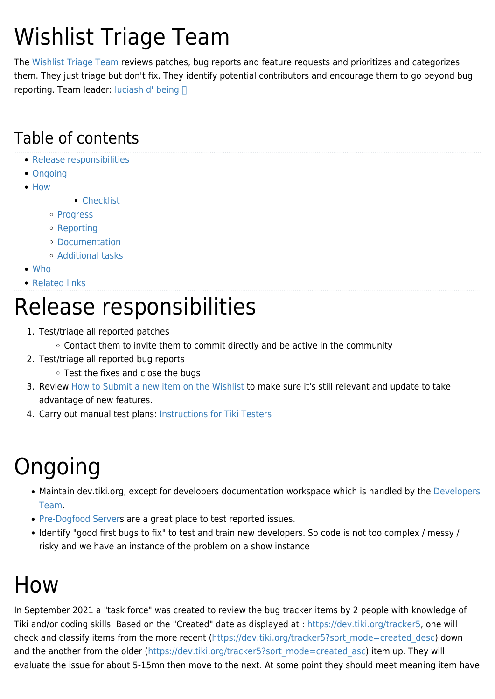# Wishlist Triage Team

The [Wishlist Triage Team](https://tiki.org/Wishlist-Triage-Team) reviews patches, bug reports and feature requests and prioritizes and categorizes them. They just triage but don't fix. They identify potential contributors and encourage them to go beyond bug reporting. Team leader: [luciash d' being](https://tiki.org/user199) 

### Table of contents

- [Release responsibilities](#page--1-0)
- [Ongoing](#page--1-0)
- [How](#page--1-0)
- [Checklist](#page--1-0)
- [Progress](#page--1-0)
- [Reporting](#page--1-0)
- [Documentation](#page--1-0)
- [Additional tasks](#page--1-0)
- [Who](#page--1-0)
- [Related links](#page--1-0)

# Release responsibilities

- 1. Test/triage all reported patches
	- Contact them to invite them to commit directly and be active in the community
- 2. Test/triage all reported bug reports
	- Test the fixes and close the bugs
- 3. Review [How to Submit a new item on the Wishlist](http://dev.tiki.org/How%20to%20Submit%20a%20new%20item%20on%20the%20Wishlist) to make sure it's still relevant and update to take advantage of new features.
- 4. Carry out manual test plans: [Instructions for Tiki Testers](http://dev.tiki.org/Instructions%20for%20Tiki%20Testers)

# Ongoing

- Maintain dev.tiki.org, except for developers documentation workspace which is handled by the [Developers](https://tiki.org/Developers-Team) [Team.](https://tiki.org/Developers-Team)
- [Pre-Dogfood Server](https://tiki.org/Pre-Dogfood-Server)s are a great place to test reported issues.
- Identify "good first bugs to fix" to test and train new developers. So code is not too complex / messy / risky and we have an instance of the problem on a show instance

# How

In September 2021 a "task force" was created to review the bug tracker items by 2 people with knowledge of Tiki and/or coding skills. Based on the "Created" date as displayed at : <https://dev.tiki.org/tracker5>, one will check and classify items from the more recent [\(https://dev.tiki.org/tracker5?sort\\_mode=created\\_desc](https://dev.tiki.org/tracker5?sort_mode=created_desc)) down and the another from the older [\(https://dev.tiki.org/tracker5?sort\\_mode=created\\_asc\)](https://dev.tiki.org/tracker5?sort_mode=created_asc) item up. They will evaluate the issue for about 5-15mn then move to the next. At some point they should meet meaning item have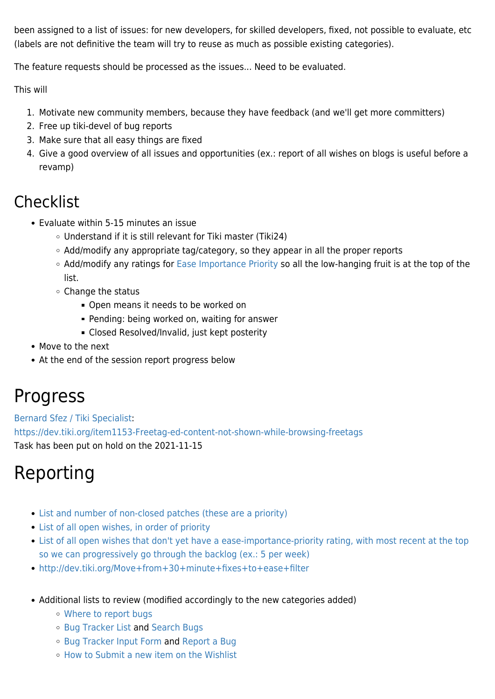been assigned to a list of issues: for new developers, for skilled developers, fixed, not possible to evaluate, etc (labels are not definitive the team will try to reuse as much as possible existing categories).

The feature requests should be processed as the issues... Need to be evaluated.

This will

- 1. Motivate new community members, because they have feedback (and we'll get more committers)
- 2. Free up tiki-devel of bug reports
- 3. Make sure that all easy things are fixed
- 4. Give a good overview of all issues and opportunities (ex.: report of all wishes on blogs is useful before a revamp)

### **Checklist**

- Evaluate within 5-15 minutes an issue
	- Understand if it is still relevant for Tiki master (Tiki24)
	- Add/modify any appropriate tag/category, so they appear in all the proper reports
	- Add/modify any ratings for [Ease Importance Priority](http://dev.tiki.org/Ease%20Importance%20Priority) so all the low-hanging fruit is at the top of the list.
	- Change the status
		- Open means it needs to be worked on
		- Pending: being worked on, waiting for answer
		- Closed Resolved/Invalid, just kept posterity
- Move to the next
- At the end of the session report progress below

### Progress

[Bernard Sfez / Tiki Specialist](https://tiki.org/user1974): <https://dev.tiki.org/item1153-Freetag-ed-content-not-shown-while-browsing-freetags> Task has been put on hold on the 2021-11-15

### Reporting

- [List and number of non-closed patches \(these are a priority\)](https://dev.tiki.org/All+Patches)
- [List of all open wishes, in order of priority](https://dev.tiki.org/tracker5)
- [List of all open wishes that don't yet have a ease-importance-priority rating, with most recent at the top](https://dev.tiki.org/Unprioritized+Open+Wishes) [so we can progressively go through the backlog \(ex.: 5 per week\)](https://dev.tiki.org/Unprioritized+Open+Wishes)
- <http://dev.tiki.org/Move+from+30+minute+fixes+to+ease+filter>
- Additional lists to review (modified accordingly to the new categories added)
	- [Where to report bugs](http://dev.tiki.org/Where%20to%20report%20bugs)
	- [Bug Tracker List](http://dev.tiki.org/Bug%20Tracker%20List) and [Search Bugs](http://dev.tiki.org/Search%20Bugs)
	- [Bug Tracker Input Form](http://dev.tiki.org/Bug%20Tracker%20Input%20Form) and [Report a Bug](http://dev.tiki.org/Report%20a%20Bug)
	- [How to Submit a new item on the Wishlist](http://dev.tiki.org/How%20to%20Submit%20a%20new%20item%20on%20the%20Wishlist)